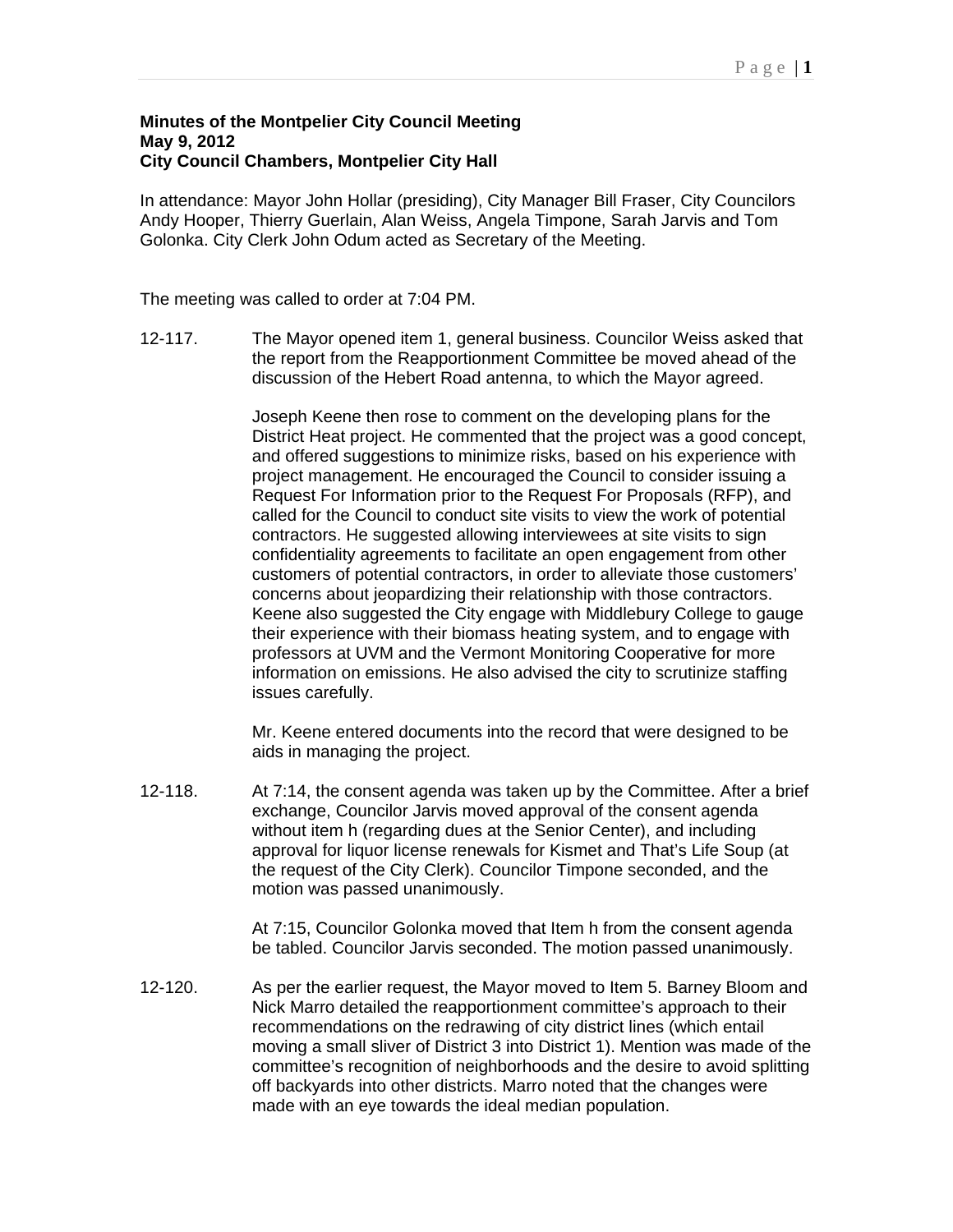## **Minutes of the Montpelier City Council Meeting May 9, 2012 City Council Chambers, Montpelier City Hall**

In attendance: Mayor John Hollar (presiding), City Manager Bill Fraser, City Councilors Andy Hooper, Thierry Guerlain, Alan Weiss, Angela Timpone, Sarah Jarvis and Tom Golonka. City Clerk John Odum acted as Secretary of the Meeting.

The meeting was called to order at 7:04 PM.

12-117. The Mayor opened item 1, general business. Councilor Weiss asked that the report from the Reapportionment Committee be moved ahead of the discussion of the Hebert Road antenna, to which the Mayor agreed.

> Joseph Keene then rose to comment on the developing plans for the District Heat project. He commented that the project was a good concept, and offered suggestions to minimize risks, based on his experience with project management. He encouraged the Council to consider issuing a Request For Information prior to the Request For Proposals (RFP), and called for the Council to conduct site visits to view the work of potential contractors. He suggested allowing interviewees at site visits to sign confidentiality agreements to facilitate an open engagement from other customers of potential contractors, in order to alleviate those customers' concerns about jeopardizing their relationship with those contractors. Keene also suggested the City engage with Middlebury College to gauge their experience with their biomass heating system, and to engage with professors at UVM and the Vermont Monitoring Cooperative for more information on emissions. He also advised the city to scrutinize staffing issues carefully.

Mr. Keene entered documents into the record that were designed to be aids in managing the project.

12-118. At 7:14, the consent agenda was taken up by the Committee. After a brief exchange, Councilor Jarvis moved approval of the consent agenda without item h (regarding dues at the Senior Center), and including approval for liquor license renewals for Kismet and That's Life Soup (at the request of the City Clerk). Councilor Timpone seconded, and the motion was passed unanimously.

> At 7:15, Councilor Golonka moved that Item h from the consent agenda be tabled. Councilor Jarvis seconded. The motion passed unanimously.

12-120. As per the earlier request, the Mayor moved to Item 5. Barney Bloom and Nick Marro detailed the reapportionment committee's approach to their recommendations on the redrawing of city district lines (which entail moving a small sliver of District 3 into District 1). Mention was made of the committee's recognition of neighborhoods and the desire to avoid splitting off backyards into other districts. Marro noted that the changes were made with an eye towards the ideal median population.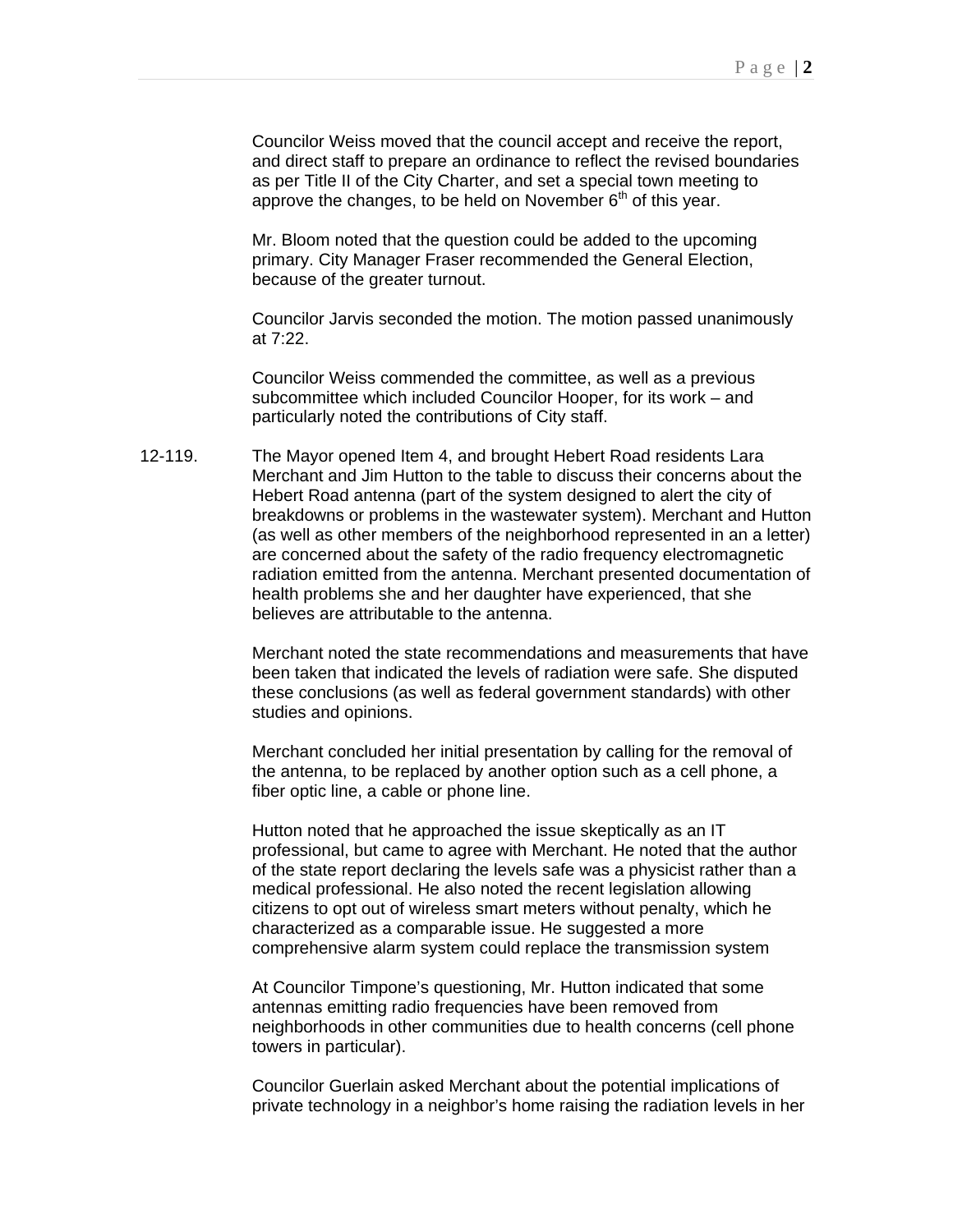Councilor Weiss moved that the council accept and receive the report, and direct staff to prepare an ordinance to reflect the revised boundaries as per Title II of the City Charter, and set a special town meeting to approve the changes, to be held on November  $6<sup>th</sup>$  of this year.

Mr. Bloom noted that the question could be added to the upcoming primary. City Manager Fraser recommended the General Election, because of the greater turnout.

Councilor Jarvis seconded the motion. The motion passed unanimously at 7:22.

Councilor Weiss commended the committee, as well as a previous subcommittee which included Councilor Hooper, for its work – and particularly noted the contributions of City staff.

12-119. The Mayor opened Item 4, and brought Hebert Road residents Lara Merchant and Jim Hutton to the table to discuss their concerns about the Hebert Road antenna (part of the system designed to alert the city of breakdowns or problems in the wastewater system). Merchant and Hutton (as well as other members of the neighborhood represented in an a letter) are concerned about the safety of the radio frequency electromagnetic radiation emitted from the antenna. Merchant presented documentation of health problems she and her daughter have experienced, that she believes are attributable to the antenna.

> Merchant noted the state recommendations and measurements that have been taken that indicated the levels of radiation were safe. She disputed these conclusions (as well as federal government standards) with other studies and opinions.

Merchant concluded her initial presentation by calling for the removal of the antenna, to be replaced by another option such as a cell phone, a fiber optic line, a cable or phone line.

Hutton noted that he approached the issue skeptically as an IT professional, but came to agree with Merchant. He noted that the author of the state report declaring the levels safe was a physicist rather than a medical professional. He also noted the recent legislation allowing citizens to opt out of wireless smart meters without penalty, which he characterized as a comparable issue. He suggested a more comprehensive alarm system could replace the transmission system

At Councilor Timpone's questioning, Mr. Hutton indicated that some antennas emitting radio frequencies have been removed from neighborhoods in other communities due to health concerns (cell phone towers in particular).

Councilor Guerlain asked Merchant about the potential implications of private technology in a neighbor's home raising the radiation levels in her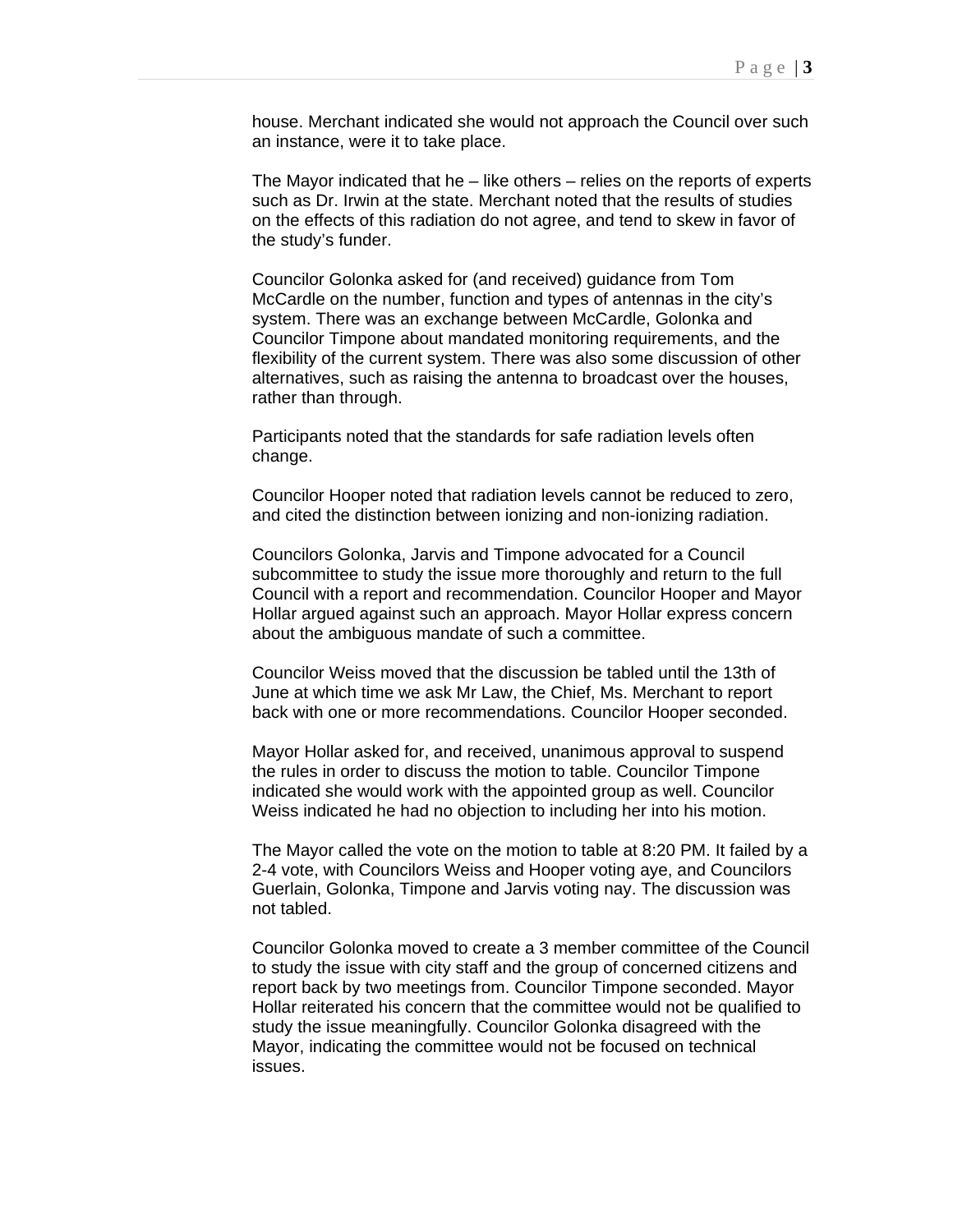house. Merchant indicated she would not approach the Council over such an instance, were it to take place.

The Mayor indicated that he  $-$  like others  $-$  relies on the reports of experts such as Dr. Irwin at the state. Merchant noted that the results of studies on the effects of this radiation do not agree, and tend to skew in favor of the study's funder.

Councilor Golonka asked for (and received) guidance from Tom McCardle on the number, function and types of antennas in the city's system. There was an exchange between McCardle, Golonka and Councilor Timpone about mandated monitoring requirements, and the flexibility of the current system. There was also some discussion of other alternatives, such as raising the antenna to broadcast over the houses, rather than through.

Participants noted that the standards for safe radiation levels often change.

Councilor Hooper noted that radiation levels cannot be reduced to zero, and cited the distinction between ionizing and non-ionizing radiation.

Councilors Golonka, Jarvis and Timpone advocated for a Council subcommittee to study the issue more thoroughly and return to the full Council with a report and recommendation. Councilor Hooper and Mayor Hollar argued against such an approach. Mayor Hollar express concern about the ambiguous mandate of such a committee.

Councilor Weiss moved that the discussion be tabled until the 13th of June at which time we ask Mr Law, the Chief, Ms. Merchant to report back with one or more recommendations. Councilor Hooper seconded.

Mayor Hollar asked for, and received, unanimous approval to suspend the rules in order to discuss the motion to table. Councilor Timpone indicated she would work with the appointed group as well. Councilor Weiss indicated he had no objection to including her into his motion.

The Mayor called the vote on the motion to table at 8:20 PM. It failed by a 2-4 vote, with Councilors Weiss and Hooper voting aye, and Councilors Guerlain, Golonka, Timpone and Jarvis voting nay. The discussion was not tabled.

Councilor Golonka moved to create a 3 member committee of the Council to study the issue with city staff and the group of concerned citizens and report back by two meetings from. Councilor Timpone seconded. Mayor Hollar reiterated his concern that the committee would not be qualified to study the issue meaningfully. Councilor Golonka disagreed with the Mayor, indicating the committee would not be focused on technical issues.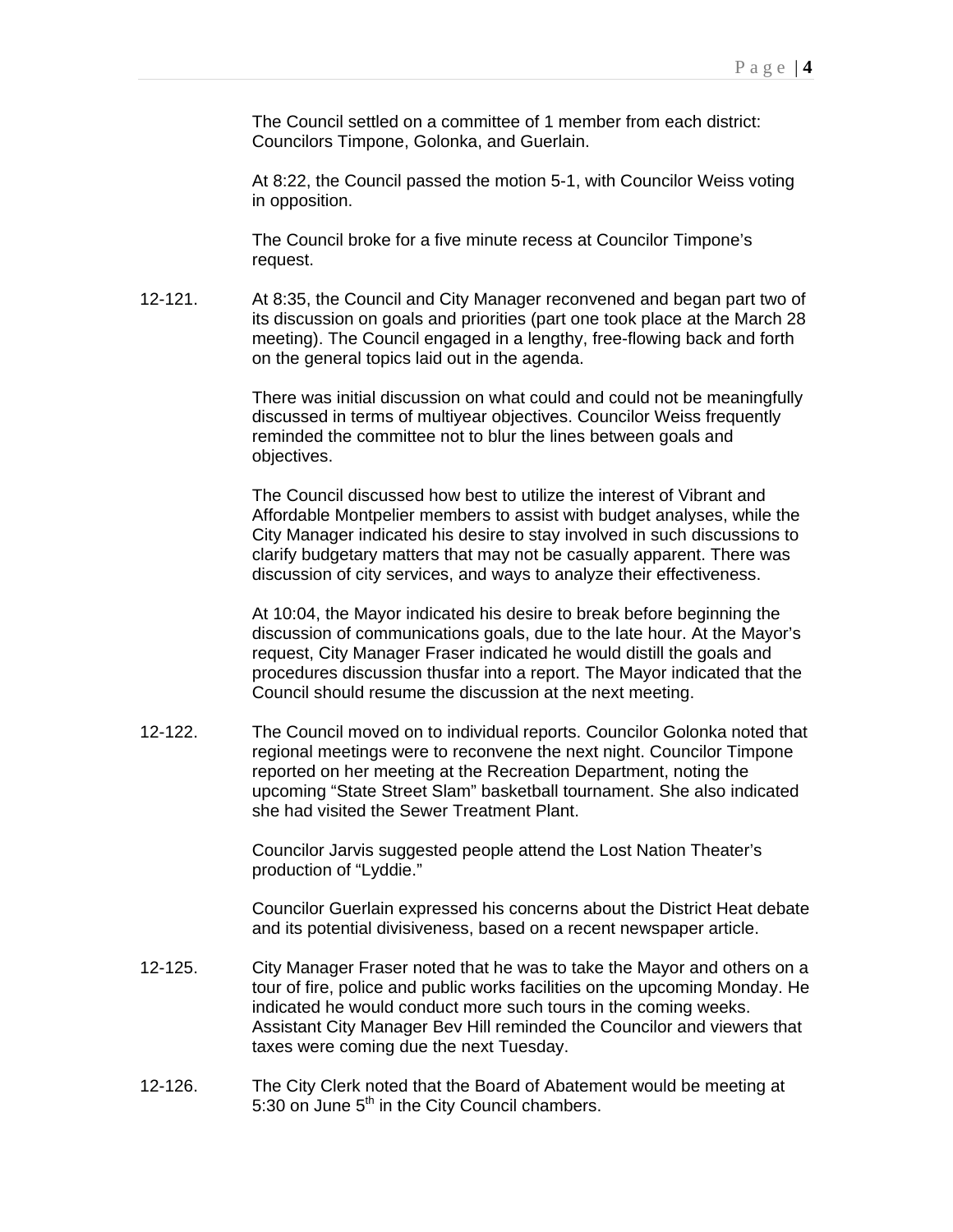The Council settled on a committee of 1 member from each district: Councilors Timpone, Golonka, and Guerlain.

At 8:22, the Council passed the motion 5-1, with Councilor Weiss voting in opposition.

The Council broke for a five minute recess at Councilor Timpone's request.

12-121. At 8:35, the Council and City Manager reconvened and began part two of its discussion on goals and priorities (part one took place at the March 28 meeting). The Council engaged in a lengthy, free-flowing back and forth on the general topics laid out in the agenda.

> There was initial discussion on what could and could not be meaningfully discussed in terms of multiyear objectives. Councilor Weiss frequently reminded the committee not to blur the lines between goals and objectives.

> The Council discussed how best to utilize the interest of Vibrant and Affordable Montpelier members to assist with budget analyses, while the City Manager indicated his desire to stay involved in such discussions to clarify budgetary matters that may not be casually apparent. There was discussion of city services, and ways to analyze their effectiveness.

> At 10:04, the Mayor indicated his desire to break before beginning the discussion of communications goals, due to the late hour. At the Mayor's request, City Manager Fraser indicated he would distill the goals and procedures discussion thusfar into a report. The Mayor indicated that the Council should resume the discussion at the next meeting.

12-122. The Council moved on to individual reports. Councilor Golonka noted that regional meetings were to reconvene the next night. Councilor Timpone reported on her meeting at the Recreation Department, noting the upcoming "State Street Slam" basketball tournament. She also indicated she had visited the Sewer Treatment Plant.

> Councilor Jarvis suggested people attend the Lost Nation Theater's production of "Lyddie."

Councilor Guerlain expressed his concerns about the District Heat debate and its potential divisiveness, based on a recent newspaper article.

- 12-125. City Manager Fraser noted that he was to take the Mayor and others on a tour of fire, police and public works facilities on the upcoming Monday. He indicated he would conduct more such tours in the coming weeks. Assistant City Manager Bev Hill reminded the Councilor and viewers that taxes were coming due the next Tuesday.
- 12-126. The City Clerk noted that the Board of Abatement would be meeting at 5:30 on June  $5<sup>th</sup>$  in the City Council chambers.